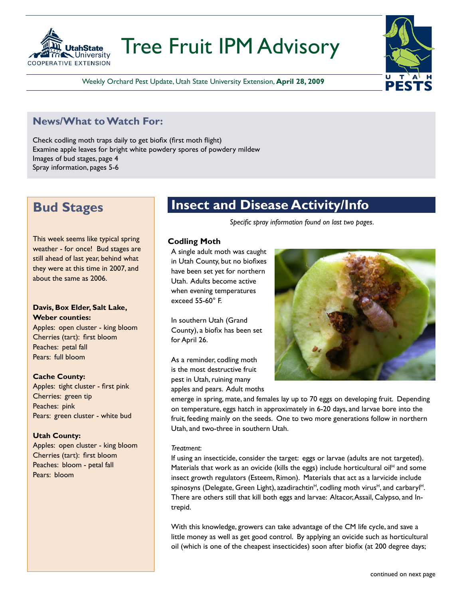

# Tree Fruit IPM Advisory



Weekly Orchard Pest Update, Utah State University Extension, **April 28, 2009**

### **News/What to Watch For:**

Check codling moth traps daily to get biofix (first moth flight) Examine apple leaves for bright white powdery spores of powdery mildew Images of bud stages, page 4 Spray information, pages 5-6

## **Bud Stages**

This week seems like typical spring weather - for once! Bud stages are still ahead of last year, behind what they were at this time in 2007, and about the same as 2006.

### **Davis, Box Elder, Salt Lake, Weber counties:**

Apples: open cluster - king bloom Cherries (tart): first bloom Peaches: petal fall Pears: full bloom

### **Cache County:**

Apples: tight cluster - first pink Cherries: green tip Peaches: pink Pears: green cluster - white bud

### **Utah County:**

Apples: open cluster - king bloom Cherries (tart): first bloom Peaches: bloom - petal fall Pears: bloom

### **Insect and Disease Activity/Info**

*Specific spray information found on last two pages.*

#### **Codling Moth**

A single adult moth was caught in Utah County, but no biofixes have been set yet for northern Utah. Adults become active when evening temperatures exceed 55-60° F.

In southern Utah (Grand County), a biofix has been set for April 26.

As a reminder, codling moth is the most destructive fruit pest in Utah, ruining many apples and pears. Adult moths



emerge in spring, mate, and females lay up to 70 eggs on developing fruit. Depending on temperature, eggs hatch in approximately in 6-20 days, and larvae bore into the fruit, feeding mainly on the seeds. One to two more generations follow in northern Utah, and two-three in southern Utah.

#### *Treatment*:

If using an insecticide, consider the target: eggs or larvae (adults are not targeted). Materials that work as an ovicide (kills the eggs) include horticultural oil<sup>H</sup> and some insect growth regulators (Esteem, Rimon). Materials that act as a larvicide include spinosyns (Delegate, Green Light), azadirachtin<sup>H</sup>, codling moth virus<sup>H</sup>, and carbaryl<sup>H</sup>. There are others still that kill both eggs and larvae: Altacor, Assail, Calypso, and Intrepid.

With this knowledge, growers can take advantage of the CM life cycle, and save a little money as well as get good control. By applying an ovicide such as horticultural oil (which is one of the cheapest insecticides) soon after biofix (at 200 degree days;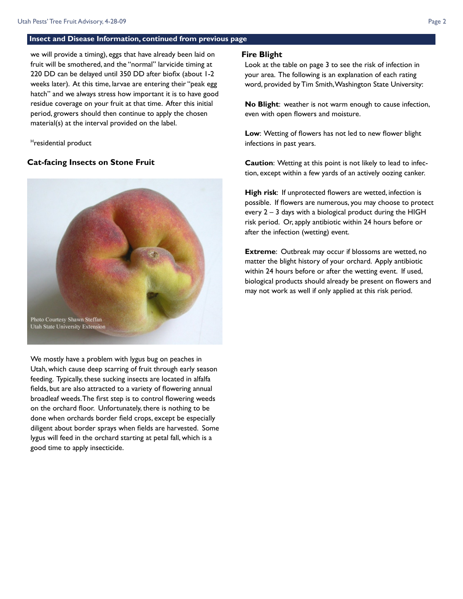#### **Insect and Disease Information, continued from previous page**

we will provide a timing), eggs that have already been laid on fruit will be smothered, and the "normal" larvicide timing at 220 DD can be delayed until 350 DD after biofix (about 1-2 weeks later). At this time, larvae are entering their "peak egg hatch" and we always stress how important it is to have good residue coverage on your fruit at that time. After this initial period, growers should then continue to apply the chosen material(s) at the interval provided on the label.

Hresidential product

### **Cat-facing Insects on Stone Fruit**



We mostly have a problem with lygus bug on peaches in Utah, which cause deep scarring of fruit through early season feeding. Typically, these sucking insects are located in alfalfa fields, but are also attracted to a variety of flowering annual broadleaf weeds. The first step is to control flowering weeds on the orchard floor. Unfortunately, there is nothing to be done when orchards border field crops, except be especially diligent about border sprays when fields are harvested. Some lygus will feed in the orchard starting at petal fall, which is a good time to apply insecticide.

#### **Fire Blight**

Look at the table on page 3 to see the risk of infection in your area. The following is an explanation of each rating word, provided by Tim Smith, Washington State University:

**No Blight**: weather is not warm enough to cause infection, even with open flowers and moisture.

**Low**: Wetting of flowers has not led to new flower blight infections in past years.

**Caution**: Wetting at this point is not likely to lead to infection, except within a few yards of an actively oozing canker.

**High risk**: If unprotected flowers are wetted, infection is possible. If flowers are numerous, you may choose to protect every 2 – 3 days with a biological product during the HIGH risk period. Or, apply antibiotic within 24 hours before or after the infection (wetting) event.

**Extreme:** Outbreak may occur if blossoms are wetted, no matter the blight history of your orchard. Apply antibiotic within 24 hours before or after the wetting event. If used, biological products should already be present on flowers and may not work as well if only applied at this risk period.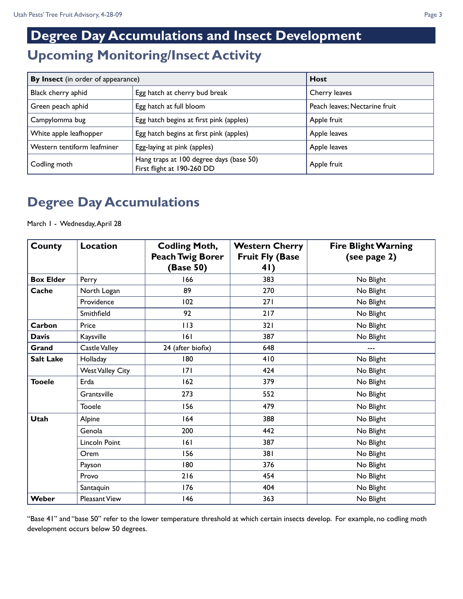## **Upcoming Monitoring/Insect Activity Degree Day Accumulations and Insect Development**

| By Insect (in order of appearance)                        | <b>Host</b>                                                           |                               |  |
|-----------------------------------------------------------|-----------------------------------------------------------------------|-------------------------------|--|
| Black cherry aphid                                        | Egg hatch at cherry bud break                                         | Cherry leaves                 |  |
| Green peach aphid                                         | Egg hatch at full bloom                                               | Peach leaves; Nectarine fruit |  |
| Egg hatch begins at first pink (apples)<br>Campylomma bug |                                                                       | Apple fruit                   |  |
| White apple leafhopper                                    | Egg hatch begins at first pink (apples)                               | Apple leaves                  |  |
| Western tentiform leafminer                               | Egg-laying at pink (apples)                                           |                               |  |
| Codling moth                                              | Hang traps at 100 degree days (base 50)<br>First flight at 190-260 DD | Apple fruit                   |  |

## **Degree Day Accumulations**

March 1 - Wednesday, April 28

| <b>County</b>    | Location                | <b>Codling Moth,</b>    | <b>Western Cherry</b>  | <b>Fire Blight Warning</b> |  |
|------------------|-------------------------|-------------------------|------------------------|----------------------------|--|
|                  |                         | <b>Peach Twig Borer</b> | <b>Fruit Fly (Base</b> | (see page 2)               |  |
|                  |                         | (Base 50)               | 4I)                    |                            |  |
| <b>Box Elder</b> | Perry                   | 166                     | 383                    | No Blight                  |  |
| Cache            | North Logan             | 89                      | 270                    | No Blight                  |  |
|                  | Providence              | 102                     | 271                    | No Blight                  |  |
|                  | Smithfield              | 92                      | 217                    | No Blight                  |  |
| Carbon           | Price                   | 113                     | 321                    | No Blight                  |  |
| <b>Davis</b>     | Kaysville               | 6                       | 387                    | No Blight                  |  |
| Grand            | Castle Valley           | 24 (after biofix)       | 648                    |                            |  |
| <b>Salt Lake</b> | Holladay                | 180                     | 410                    | No Blight                  |  |
|                  | <b>West Valley City</b> | 7                       | 424                    | No Blight                  |  |
| <b>Tooele</b>    | Erda                    | 162                     | 379                    | No Blight                  |  |
|                  | Grantsville             | 273                     | 552                    | No Blight                  |  |
|                  | <b>Tooele</b>           | 156                     | 479                    | No Blight                  |  |
| <b>Utah</b>      | Alpine                  | 164                     | 388                    | No Blight                  |  |
|                  | Genola                  | 200                     | 442                    | No Blight                  |  |
|                  | Lincoln Point           | 6                       | 387                    | No Blight                  |  |
|                  | Orem                    | 156                     | 381                    | No Blight                  |  |
|                  | Payson                  | 180                     | 376                    | No Blight                  |  |
|                  | Provo                   | 216                     | 454                    | No Blight                  |  |
|                  | Santaquin               | 176                     | 404                    | No Blight                  |  |
| Weber            | <b>Pleasant View</b>    | 146                     | 363                    | No Blight                  |  |

"Base 41" and "base 50" refer to the lower temperature threshold at which certain insects develop. For example, no codling moth development occurs below 50 degrees.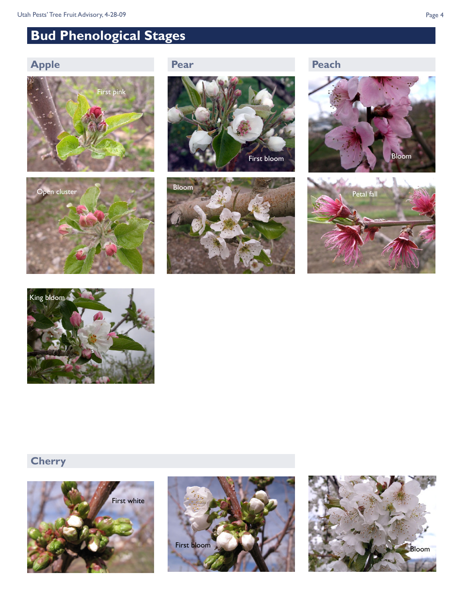# **Bud Phenological Stages**

### **Apple Pear Peach**















## **Cherry**





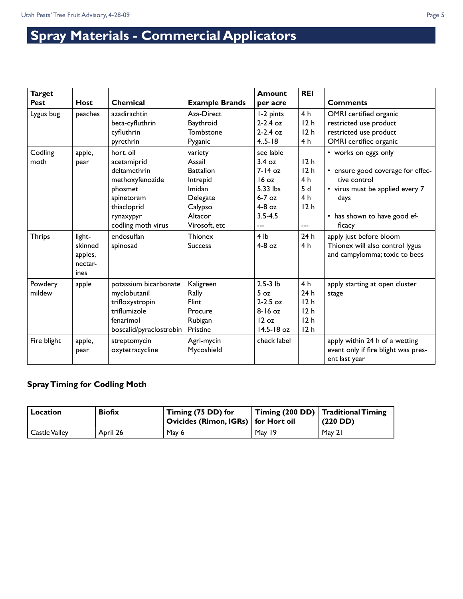# **Spray Materials - Commercial Applicators**

| <b>Target</b>     |                                                 |                                                                                                                                        |                                                                                                                | <b>Amount</b>                                                                                                   | <b>REI</b>                                                                                    |                                                                                                                                                                |
|-------------------|-------------------------------------------------|----------------------------------------------------------------------------------------------------------------------------------------|----------------------------------------------------------------------------------------------------------------|-----------------------------------------------------------------------------------------------------------------|-----------------------------------------------------------------------------------------------|----------------------------------------------------------------------------------------------------------------------------------------------------------------|
| <b>Pest</b>       | <b>Host</b>                                     | <b>Chemical</b>                                                                                                                        | <b>Example Brands</b>                                                                                          | per acre                                                                                                        |                                                                                               | <b>Comments</b>                                                                                                                                                |
| Lygus bug         | peaches                                         | azadirachtin<br>beta-cyfluthrin<br>cyfluthrin<br>pyrethrin                                                                             | Aza-Direct<br>Baythroid<br>Tombstone<br>Pyganic                                                                | 1-2 pints<br>$2-2.4$ oz<br>$2 - 2.4$ oz<br>$4.5 - 18$                                                           | 4 <sub>h</sub><br>12 <sub>h</sub><br>12h<br>4 h                                               | OMRI certified organic<br>restricted use product<br>restricted use product<br>OMRI certifiec organic                                                           |
| Codling<br>moth   | apple,<br>pear                                  | hort. oil<br>acetamiprid<br>deltamethrin<br>methoxyfenozide<br>phosmet<br>spinetoram<br>thiacloprid<br>rynaxypyr<br>codling moth virus | variety<br>Assail<br><b>Battalion</b><br>Intrepid<br>Imidan<br>Delegate<br>Calypso<br>Altacor<br>Virosoft, etc | see lable<br>3.4 oz<br>$7-14$ oz<br>$16 \text{ oz}$<br>5.33 lbs<br>$6-7$ oz<br>$4-8$ oz<br>$3.5 - 4.5$<br>$---$ | 12 <sub>h</sub><br>12 <sub>h</sub><br>4 <sub>h</sub><br>5d<br>4 h<br>12 <sub>h</sub><br>$---$ | • works on eggs only<br>• ensure good coverage for effec-<br>tive control<br>• virus must be applied every 7<br>days<br>• has shown to have good ef-<br>ficacy |
| <b>Thrips</b>     | light-<br>skinned<br>apples,<br>nectar-<br>ines | endosulfan<br>spinosad                                                                                                                 | <b>Thionex</b><br><b>Success</b>                                                                               | 4 <sub>lb</sub><br>$4-8$ oz                                                                                     | 24h<br>4 <sub>h</sub>                                                                         | apply just before bloom<br>Thionex will also control lygus<br>and campylomma; toxic to bees                                                                    |
| Powdery<br>mildew | apple                                           | potassium bicarbonate<br>myclobutanil<br>trifloxystropin<br>triflumizole<br>fenarimol<br>boscalid/pyraclostrobin                       | Kaligreen<br>Rally<br>Flint<br>Procure<br>Rubigan<br>Pristine                                                  | $2.5 - 3$ lb<br>5 <sub>oz</sub><br>$2-2.5$ oz<br>$8-16$ oz<br>12 oz<br>$14.5 - 18$ oz                           | 4 h<br>24h<br>12 <sub>h</sub><br>12 <sub>h</sub><br>12h<br>12 <sub>h</sub>                    | apply starting at open cluster<br>stage                                                                                                                        |
| Fire blight       | apple,<br>pear                                  | streptomycin<br>oxytetracycline                                                                                                        | Agri-mycin<br>Mycoshield                                                                                       | check label                                                                                                     |                                                                                               | apply within 24 h of a wetting<br>event only if fire blight was pres-<br>ent last year                                                                         |

### **Spray Timing for Codling Moth**

| <b>Location</b> | <b>Biofix</b> | Timing (75 DD) for<br>  Ovicides (Rimon, IGRs)   for Hort oil |        | Timing (200 DD)   Traditional Timing<br>(220 DD) |
|-----------------|---------------|---------------------------------------------------------------|--------|--------------------------------------------------|
| Castle Valley   | April 26      | May 6                                                         | May 19 | May $21$                                         |